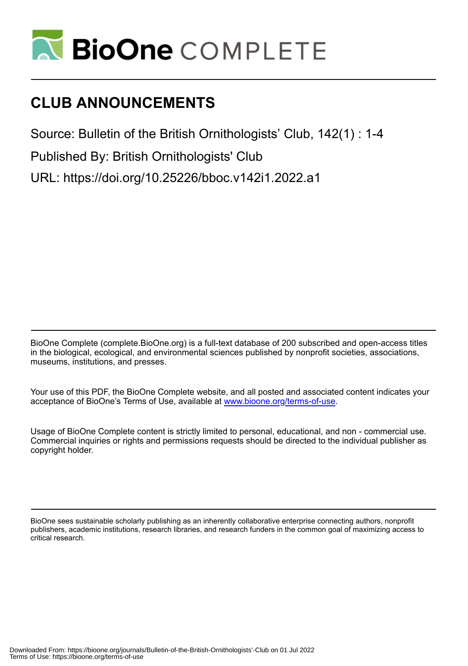

## **CLUB ANNOUNCEMENTS**

Source: Bulletin of the British Ornithologists' Club, 142(1) : 1-4

Published By: British Ornithologists' Club

URL: https://doi.org/10.25226/bboc.v142i1.2022.a1

BioOne Complete (complete.BioOne.org) is a full-text database of 200 subscribed and open-access titles in the biological, ecological, and environmental sciences published by nonprofit societies, associations, museums, institutions, and presses.

Your use of this PDF, the BioOne Complete website, and all posted and associated content indicates your acceptance of BioOne's Terms of Use, available at www.bioone.org/terms-of-use.

Usage of BioOne Complete content is strictly limited to personal, educational, and non - commercial use. Commercial inquiries or rights and permissions requests should be directed to the individual publisher as copyright holder.

BioOne sees sustainable scholarly publishing as an inherently collaborative enterprise connecting authors, nonprofit publishers, academic institutions, research libraries, and research funders in the common goal of maximizing access to critical research.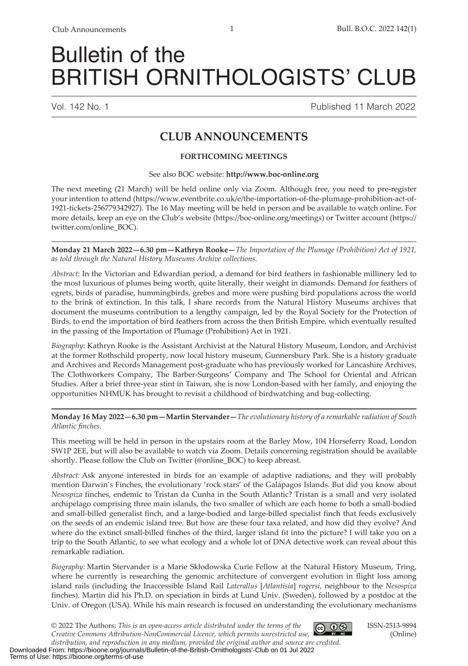# Bulletin of the BRITISH ORNITHOLOGISTS' CLUB

Vol. 142 No. 1 Published 11 March 2022

### **CLUB ANNOUNCEMENTS**

#### **FORTHCOMING MEETINGS**

#### See also BOC website: **http://www.boc-online.org**

The next meeting (21 March) will be held online only via Zoom. Although free, you need to pre-register your intention to attend (https://www.eventbrite.co.uk/e/the-importation-of-the-plumage-prohibition-act-of-1921-tickets-256779342927). The 16 May meeting will be held in person and be available to watch online. For more details, keep an eye on the Club's website (https://boc-online.org/meetings) or Twitter account (https:// twitter.com/online\_BOC).

**Monday 21 March 2022—6.30 pm—Kathryn Rooke—***The Importation of the Plumage (Prohibition) Act of 1921, as told through the Natural History Museums Archive collections*.

*Abstract*: In the Victorian and Edwardian period, a demand for bird feathers in fashionable millinery led to the most luxurious of plumes being worth, quite literally, their weight in diamonds. Demand for feathers of egrets, birds of paradise, hummingbirds, grebes and more were pushing bird populations across the world to the brink of extinction. In this talk, I share records from the Natural History Museums archives that document the museums contribution to a lengthy campaign, led by the Royal Society for the Protection of Birds, to end the importation of bird feathers from across the then British Empire, which eventually resulted in the passing of the Importation of Plumage (Prohibition) Act in 1921.

*Biography*: Kathryn Rooke is the Assistant Archivist at the Natural History Museum, London, and Archivist at the former Rothschild property, now local history museum, Gunnersbury Park. She is a history graduate and Archives and Records Management post-graduate who has previously worked for Lancashire Archives, The Clothworkers Company, The Barber-Surgeons' Company and The School for Oriental and African Studies. After a brief three-year stint in Taiwan, she is now London-based with her family, and enjoying the opportunities NHMUK has brought to revisit a childhood of birdwatching and bug-collecting.

#### **Monday 16 May 2022—6.30 pm—Martin Stervander—***The evolutionary history of a remarkable radiation of South Atlantic finches*.

This meeting will be held in person in the upstairs room at the Barley Mow, 104 Horseferry Road, London SW1P 2EE, but will also be available to watch via Zoom. Details concerning registration should be available shortly. Please follow the Club on Twitter (@online\_BOC) to keep abreast.

*Abstract:* Ask anyone interested in birds for an example of adaptive radiations, and they will probably mention Darwin's Finches, the evolutionary 'rock stars' of the Galápagos Islands. But did you know about *Nesospiza* finches, endemic to Tristan da Cunha in the South Atlantic? Tristan is a small and very isolated archipelago comprising three main islands, the two smaller of which are each home to both a small-bodied and small-billed generalist finch, and a large-bodied and large-billed specialist finch that feeds exclusively on the seeds of an endemic island tree. But how are these four taxa related, and how did they evolve? And where do the extinct small-billed finches of the third, larger island fit into the picture? I will take you on a trip to the South Atlantic, to see what ecology and a whole lot of DNA detective work can reveal about this remarkable radiation.

*Biography:* Martin Stervander is a Marie Skłodowska Curie Fellow at the Natural History Museum, Tring, where he currently is researching the genomic architecture of convergent evolution in flight loss among island rails (including the Inaccessible Island Rail *Laterallus* [*Atlantisia*] *rogersi*, neighbour to the *Nesospiza* finches). Martin did his Ph.D. on speciation in birds at Lund Univ. (Sweden), followed by a postdoc at the Univ. of Oregon (USA). While his main research is focused on understanding the evolutionary mechanisms

 $\bigcirc$  0  $\circ$ © 2022 The Authors; *This is an open‐access article distributed under the terms of the Creative Commons Attribution-NonCommercial Licence, which permits unrestricted use,* 

ISSN-2513-9894 (Online)

*distribution, and reproduction in any medium, provided the original author and source are credited.*  Downloaded From: https://bioone.org/journals/Bulletin-of-the-British-Ornithologists'-Club on 01 Jul 2022 Terms of Use: https://bioone.org/terms-of-use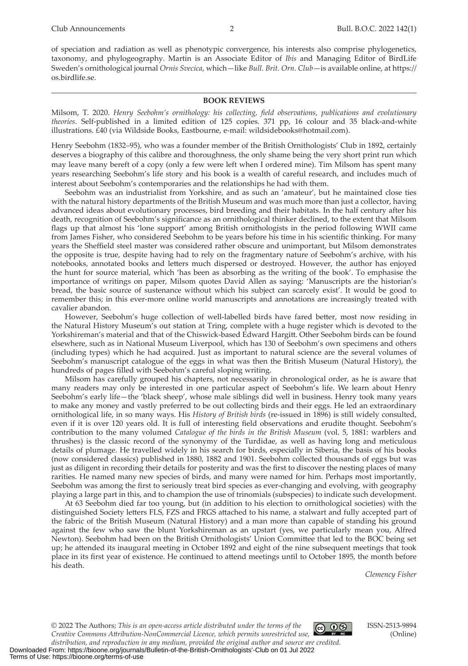of speciation and radiation as well as phenotypic convergence, his interests also comprise phylogenetics, taxonomy, and phylogeography. Martin is an Associate Editor of *Ibis* and Managing Editor of BirdLife Sweden's ornithological journal *Ornis Svecica*, which—like *Bull. Brit. Orn. Club*—is available online, at https:// os.birdlife.se.

#### **BOOK REVIEWS**

Milsom, T. 2020. *Henry Seebohm's ornithology: his collecting, field observations, publications and evolutionary theories*. Self-published in a limited edition of 125 copies. 371 pp, 16 colour and 35 black-and-white illustrations. £40 (via Wildside Books, Eastbourne, e-mail: wildsidebooks@hotmail.com).

Henry Seebohm (1832–95), who was a founder member of the British Ornithologists' Club in 1892, certainly deserves a biography of this calibre and thoroughness, the only shame being the very short print run which may leave many bereft of a copy (only a few were left when I ordered mine). Tim Milsom has spent many years researching Seebohm's life story and his book is a wealth of careful research, and includes much of interest about Seebohm's contemporaries and the relationships he had with them.

Seebohm was an industrialist from Yorkshire, and as such an 'amateur', but he maintained close ties with the natural history departments of the British Museum and was much more than just a collector, having advanced ideas about evolutionary processes, bird breeding and their habitats. In the half century after his death, recognition of Seebohm's significance as an ornithological thinker declined, to the extent that Milsom flags up that almost his 'lone support' among British ornithologists in the period following WWII came from James Fisher, who considered Seebohm to be years before his time in his scientific thinking. For many years the Sheffield steel master was considered rather obscure and unimportant, but Milsom demonstrates the opposite is true, despite having had to rely on the fragmentary nature of Seebohm's archive, with his notebooks, annotated books and letters much dispersed or destroyed. However, the author has enjoyed the hunt for source material, which 'has been as absorbing as the writing of the book'. To emphasise the importance of writings on paper, Milsom quotes David Allen as saying: 'Manuscripts are the historian's bread, the basic source of sustenance without which his subject can scarcely exist'. It would be good to remember this; in this ever-more online world manuscripts and annotations are increasingly treated with cavalier abandon.

However, Seebohm's huge collection of well-labelled birds have fared better, most now residing in the Natural History Museum's out station at Tring, complete with a huge register which is devoted to the Yorkshireman's material and that of the Chiswick-based Edward Hargitt. Other Seebohm birds can be found elsewhere, such as in National Museum Liverpool, which has 130 of Seebohm's own specimens and others (including types) which he had acquired. Just as important to natural science are the several volumes of Seebohm's manuscript catalogue of the eggs in what was then the British Museum (Natural History), the hundreds of pages filled with Seebohm's careful sloping writing.

Milsom has carefully grouped his chapters, not necessarily in chronological order, as he is aware that many readers may only be interested in one particular aspect of Seebohm's life. We learn about Henry Seebohm's early life—the 'black sheep', whose male siblings did well in business. Henry took many years to make any money and vastly preferred to be out collecting birds and their eggs. He led an extraordinary ornithological life, in so many ways. His *History of British birds* (re-issued in 1896) is still widely consulted, even if it is over 120 years old. It is full of interesting field observations and erudite thought. Seebohm's contribution to the many volumed *Catalogue of the birds in the British Museum* (vol. 5, 1881: warblers and thrushes) is the classic record of the synonymy of the Turdidae, as well as having long and meticulous details of plumage. He travelled widely in his search for birds, especially in Siberia, the basis of his books (now considered classics) published in 1880, 1882 and 1901. Seebohm collected thousands of eggs but was just as diligent in recording their details for posterity and was the first to discover the nesting places of many rarities. He named many new species of birds, and many were named for him. Perhaps most importantly, Seebohm was among the first to seriously treat bird species as ever-changing and evolving, with geography playing a large part in this, and to champion the use of trinomials (subspecies) to indicate such development.

At 63 Seebohm died far too young, but (in addition to his election to ornithological societies) with the distinguished Society letters FLS, FZS and FRGS attached to his name, a stalwart and fully accepted part of the fabric of the British Museum (Natural History) and a man more than capable of standing his ground against the few who saw the blunt Yorkshireman as an upstart (yes, we particularly mean you, Alfred Newton). Seebohm had been on the British Ornithologists' Union Committee that led to the BOC being set up; he attended its inaugural meeting in October 1892 and eight of the nine subsequent meetings that took place in its first year of existence. He continued to attend meetings until to October 1895, the month before his death.

*Clemency Fisher* 

© 2022 The Authors; *This is an open‐access article distributed under the terms of the*   $@@@@$ 



*Creative Commons Attribution-NonCommercial Licence, which permits unrestricted use, distribution, and reproduction in any medium, provided the original author and source are credited.*  Downloaded From: https://bioone.org/journals/Bulletin-of-the-British-Ornithologists'-Club on 01 Jul 2022 Terms of Use: https://bioone.org/terms-of-use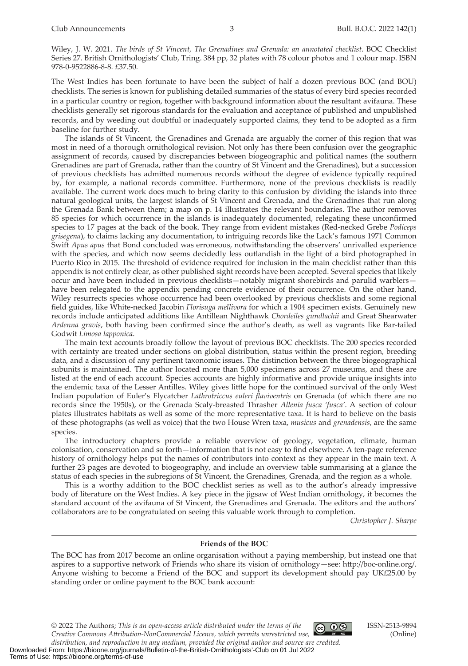Wiley, J. W. 2021. *The birds of St Vincent, The Grenadines and Grenada: an annotated checklist*. BOC Checklist Series 27. British Ornithologists' Club, Tring. 384 pp, 32 plates with 78 colour photos and 1 colour map. ISBN 978-0-9522886-8-8. £37.50.

The West Indies has been fortunate to have been the subject of half a dozen previous BOC (and BOU) checklists. The series is known for publishing detailed summaries of the status of every bird species recorded in a particular country or region, together with background information about the resultant avifauna. These checklists generally set rigorous standards for the evaluation and acceptance of published and unpublished records, and by weeding out doubtful or inadequately supported claims, they tend to be adopted as a firm baseline for further study.

The islands of St Vincent, the Grenadines and Grenada are arguably the corner of this region that was most in need of a thorough ornithological revision. Not only has there been confusion over the geographic assignment of records, caused by discrepancies between biogeographic and political names (the southern Grenadines are part of Grenada, rather than the country of St Vincent and the Grenadines), but a succession of previous checklists has admitted numerous records without the degree of evidence typically required by, for example, a national records committee. Furthermore, none of the previous checklists is readily available. The current work does much to bring clarity to this confusion by dividing the islands into three natural geological units, the largest islands of St Vincent and Grenada, and the Grenadines that run along the Grenada Bank between them; a map on p. 14 illustrates the relevant boundaries. The author removes 85 species for which occurrence in the islands is inadequately documented, relegating these unconfirmed species to 17 pages at the back of the book. They range from evident mistakes (Red-necked Grebe *Podiceps grisegena*), to claims lacking any documentation, to intriguing records like the Lack's famous 1971 Common Swift *Apus apus* that Bond concluded was erroneous, notwithstanding the observers' unrivalled experience with the species, and which now seems decidedly less outlandish in the light of a bird photographed in Puerto Rico in 2015. The threshold of evidence required for inclusion in the main checklist rather than this appendix is not entirely clear, as other published sight records have been accepted. Several species that likely occur and have been included in previous checklists—notably migrant shorebirds and parulid warblers have been relegated to the appendix pending concrete evidence of their occurrence. On the other hand, Wiley resurrects species whose occurrence had been overlooked by previous checklists and some regional field guides, like White-necked Jacobin *Florisuga mellivora* for which a 1904 specimen exists. Genuinely new records include anticipated additions like Antillean Nighthawk *Chordeiles gundlachii* and Great Shearwater *Ardenna gravis*, both having been confirmed since the author's death, as well as vagrants like Bar-tailed Godwit *Limosa lapponica*.

The main text accounts broadly follow the layout of previous BOC checklists. The 200 species recorded with certainty are treated under sections on global distribution, status within the present region, breeding data, and a discussion of any pertinent taxonomic issues. The distinction between the three biogeographical subunits is maintained. The author located more than 5,000 specimens across 27 museums, and these are listed at the end of each account. Species accounts are highly informative and provide unique insights into the endemic taxa of the Lesser Antilles. Wiley gives little hope for the continued survival of the only West Indian population of Euler's Flycatcher *Lathrotriccus euleri flaviventris* on Grenada (of which there are no records since the 1950s), or the Grenada Scaly-breasted Thrasher *Allenia fusca 'fusca'*. A section of colour plates illustrates habitats as well as some of the more representative taxa. It is hard to believe on the basis of these photographs (as well as voice) that the two House Wren taxa, *musicus* and *grenadensis*, are the same species.

The introductory chapters provide a reliable overview of geology, vegetation, climate, human colonisation, conservation and so forth—information that is not easy to find elsewhere. A ten-page reference history of ornithology helps put the names of contributors into context as they appear in the main text. A further 23 pages are devoted to biogeography, and include an overview table summarising at a glance the status of each species in the subregions of St Vincent, the Grenadines, Grenada, and the region as a whole.

This is a worthy addition to the BOC checklist series as well as to the author's already impressive body of literature on the West Indies. A key piece in the jigsaw of West Indian ornithology, it becomes the standard account of the avifauna of St Vincent, the Grenadines and Grenada. The editors and the authors' collaborators are to be congratulated on seeing this valuable work through to completion.

*Christopher J. Sharpe*

#### **Friends of the BOC**

The BOC has from 2017 become an online organisation without a paying membership, but instead one that aspires to a supportive network of Friends who share its vision of ornithology—see: http://boc-online.org/. Anyone wishing to become a Friend of the BOC and support its development should pay UK£25.00 by standing order or online payment to the BOC bank account:

© 2022 The Authors; *This is an open‐access article distributed under the terms of the*   $@@@@$ *Creative Commons Attribution-NonCommercial Licence, which permits unrestricted use,*